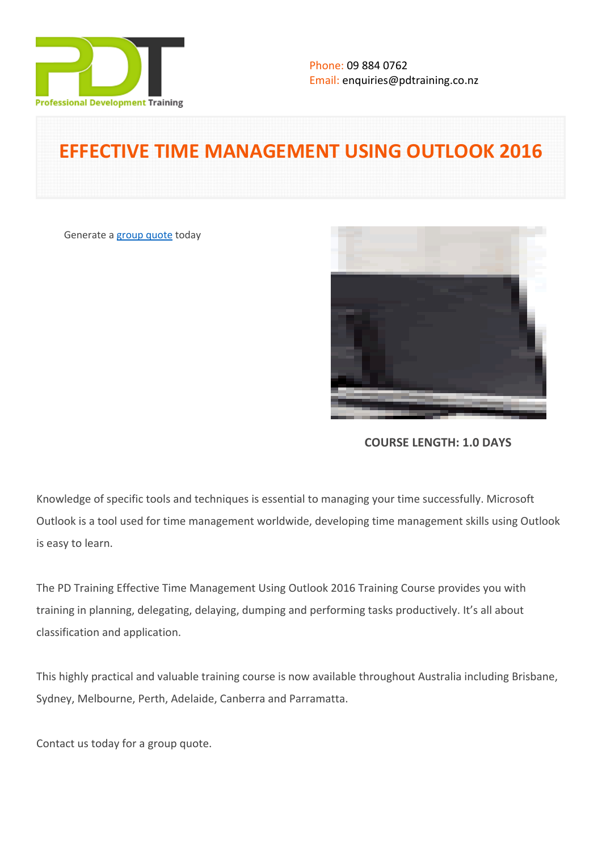

# **EFFECTIVE TIME MANAGEMENT USING OUTLOOK 2016**

Generate a [group quote](https://pdtraining.co.nz/inhouse-training-quote?cse=PDTE427_C) today



**COURSE LENGTH: 1.0 DAYS**

Knowledge of specific tools and techniques is essential to managing your time successfully. Microsoft Outlook is a tool used for time management worldwide, developing time management skills using Outlook is easy to learn.

The PD Training Effective Time Management Using Outlook 2016 Training Course provides you with training in planning, delegating, delaying, dumping and performing tasks productively. It's all about classification and application.

This highly practical and valuable training course is now available throughout Australia including Brisbane, Sydney, Melbourne, Perth, Adelaide, Canberra and Parramatta.

Contact us today for a [group quote.](https://pdtraining.com.au/bookings/inhouseex1/quoterequestex1a.aspx)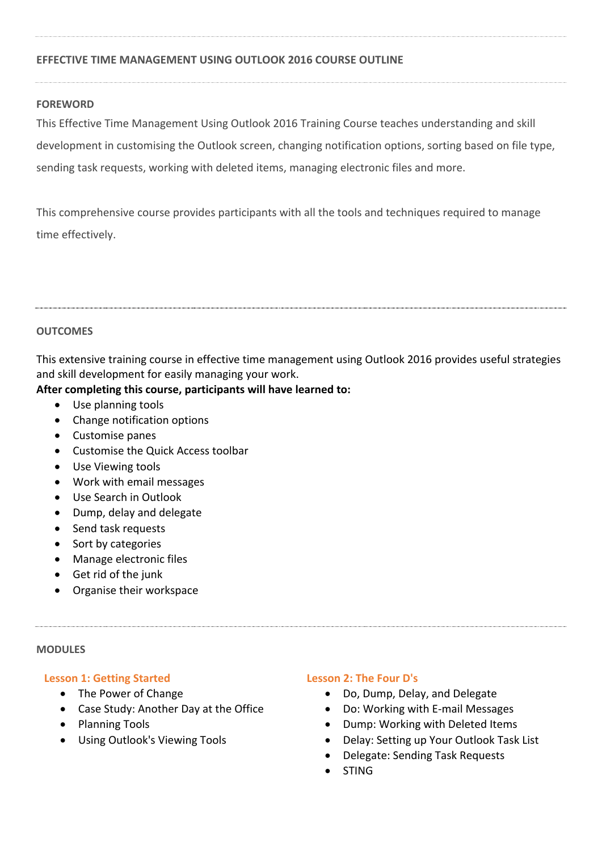# **EFFECTIVE TIME MANAGEMENT USING OUTLOOK 2016 COURSE OUTLINE**

## **FOREWORD**

This Effective Time Management Using Outlook 2016 Training Course teaches understanding and skill development in customising the Outlook screen, changing notification options, sorting based on file type, sending task requests, working with deleted items, managing electronic files and more.

This comprehensive course provides participants with all the tools and techniques required to manage time effectively.

#### **OUTCOMES**

This extensive training course in effective time management using Outlook 2016 provides useful strategies and skill development for easily managing your work.

## **After completing this course, participants will have learned to:**

- Use planning tools
- Change notification options
- Customise panes
- Customise the Quick Access toolbar
- Use Viewing tools
- Work with email messages
- Use Search in Outlook
- Dump, delay and delegate
- Send task requests
- Sort by categories
- Manage electronic files
- Get rid of the junk
- Organise their workspace

#### **MODULES**

## **Lesson 1: Getting Started**

- The Power of Change
- Case Study: Another Day at the Office
- Planning Tools
- Using Outlook's Viewing Tools

## **Lesson 2: The Four D's**

- Do, Dump, Delay, and Delegate
- Do: Working with E-mail Messages
- Dump: Working with Deleted Items
- Delay: Setting up Your Outlook Task List
- Delegate: Sending Task Requests
- STING